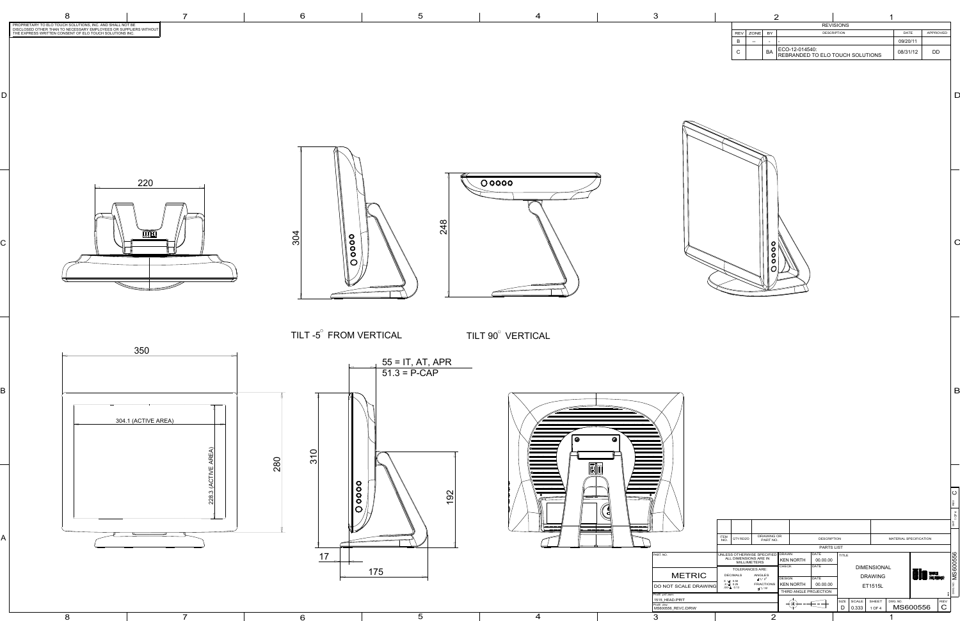B

 $\bm{\mathsf{C}}$ 

8

 $7$  6 5

C

 $\Box$ 



|            | <b>REVISIONS</b> |           |                                                    |             |          |    |  |  |  |  |  |  |
|------------|------------------|-----------|----------------------------------------------------|-------------|----------|----|--|--|--|--|--|--|
| <b>REV</b> | <b>ZONE</b>      | BY        | <b>DESCRIPTION</b>                                 | <b>DATE</b> | APPROVED |    |  |  |  |  |  |  |
| B          | $- -$            | ۰         | -                                                  |             | 09/20/11 |    |  |  |  |  |  |  |
| С          |                  | <b>BA</b> | ECO-12-014540:<br>REBRANDED TO ELO TOUCH SOLUTIONS |             | 08/31/12 | DD |  |  |  |  |  |  |

| 4             |                 | 3                                |                    |                                           | ⌒                                           |                  |                  |                        |              |       |                    |                        |             |                |
|---------------|-----------------|----------------------------------|--------------------|-------------------------------------------|---------------------------------------------|------------------|------------------|------------------------|--------------|-------|--------------------|------------------------|-------------|----------------|
|               |                 | Pro/E .drw:<br>MS600556_REVC.DRW |                    |                                           |                                             |                  |                  |                        | D            | 0.333 | 1 OF 4             | MS600556               | $\mathsf C$ |                |
|               |                 | 1515_HEAD.PRT                    |                    |                                           |                                             |                  |                  |                        | SIZE         | SCALE | <b>SHEET</b>       | DWG. NO.               | REV         |                |
|               |                 | Pro/E .prt/.asm:                 |                    |                                           |                                             |                  |                  | THIRD ANGLE PROJECTION |              |       |                    |                        |             |                |
|               |                 | DO NOT SCALE DRAWING             |                    | $X = 0.50$<br>$X = 0.25$<br>$XX=\pm$ 0.13 | <b>FRACTIONS</b><br>$\pm$ 1/32              | <b>KEN NORTH</b> |                  | 00.00.00               |              |       | <b>ET1515L</b>     |                        |             | 9.             |
|               |                 | <b>METRIC</b>                    |                    |                                           | $\pm$ 1/2°                                  | <b>DESIGN</b>    |                  | DATE                   |              |       | <b>DRAWING</b>     | <b>EIO</b> TOUCH       |             |                |
|               |                 |                                  |                    | <b>DECIMALS</b>                           | <b>TOLERANCES ARE:</b><br>ANGLES            |                  |                  |                        |              |       |                    |                        |             | MS600556       |
|               |                 |                                  |                    |                                           |                                             | CHECK            |                  | DATE                   |              |       | <b>DIMENSIONAL</b> |                        |             |                |
|               |                 |                                  |                    |                                           | ALL DIMENSIONS ARE IN<br><b>MILLIMETERS</b> |                  | <b>KEN NORTH</b> | 00.00.00               |              |       |                    |                        |             |                |
|               |                 | PART. NO.                        |                    |                                           | UNLESS OTHERWISE SPECIFIED   DRAWN          |                  |                  | DATE                   | <b>TITLE</b> |       |                    |                        |             |                |
|               |                 |                                  |                    |                                           |                                             |                  |                  | PARTS LIST             |              |       |                    |                        |             |                |
|               |                 |                                  | <b>ITEM</b><br>NO. | QTY REQ'D                                 | <b>DRAWING OR</b><br>PART NO.               |                  |                  | <b>DESCRIPTION</b>     |              |       |                    | MATERIAL SPECIFICATION |             |                |
| ———— <b>—</b> | $168 - 11 = 11$ |                                  |                    |                                           |                                             |                  |                  |                        |              |       |                    |                        |             | $\overline{5}$ |
|               |                 |                                  |                    |                                           |                                             |                  |                  |                        |              |       |                    |                        |             | $\sigma$       |
| NWL           |                 |                                  |                    |                                           |                                             |                  |                  |                        |              |       |                    |                        |             | 4              |
|               |                 |                                  |                    |                                           |                                             |                  |                  |                        |              |       |                    |                        |             | REV            |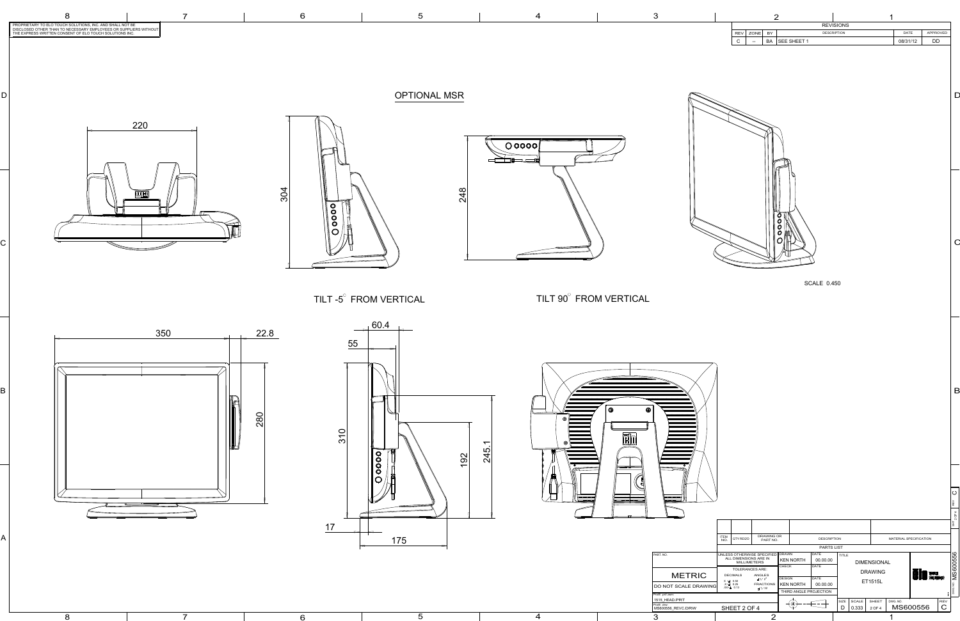8

C

D



| <b>REVISIONS</b> |             |    |                    |                    |          |          |  |  |  |  |
|------------------|-------------|----|--------------------|--------------------|----------|----------|--|--|--|--|
| <b>REV</b>       | <b>ZONE</b> | BY |                    | <b>DESCRIPTION</b> | DATE     | APPROVED |  |  |  |  |
| ⌒<br>v           | $- -$       | BA | <b>SEE SHEET 1</b> |                    | 08/31/12 | DD       |  |  |  |  |





| 60.4<br>$\longrightarrow$<br>22.8<br>55<br>$\bm{\odot}$<br>280<br>________<br>$\overline{1}$ , and the state of $\overline{1}$<br>310<br>$\frac{1}{2}$ as $\frac{1}{2}$ if $\frac{1}{2}$<br>.<br>245<br>$\begin{picture}(120,10) \put(0,0){\line(1,0){10}} \put(15,0){\line(1,0){10}} \put(15,0){\line(1,0){10}} \put(15,0){\line(1,0){10}} \put(15,0){\line(1,0){10}} \put(15,0){\line(1,0){10}} \put(15,0){\line(1,0){10}} \put(15,0){\line(1,0){10}} \put(15,0){\line(1,0){10}} \put(15,0){\line(1,0){10}} \put(15,0){\line(1,0){10}} \put(15,0){\line($<br>$\bullet$<br>192<br>=<br>$\bullet$<br>$\frac{1}{2}$<br>$\sqrt{\frac{1}{\sigma}}$<br>$\bullet$<br>ം<br>$\sqrt{2}$<br>$\bullet$<br>__<br>$\bigcirc$<br>₩<br>$\Box$<br>$\overline{\phantom{a}}$<br>سمعد سدهم<br>$\overline{\phantom{a}}$<br>17<br>$\longleftarrow$<br>$\frac{1}{2} \left( \frac{1}{2} \right) \left( \frac{1}{2} \right) \left( \frac{1}{2} \right) \left( \frac{1}{2} \right) \left( \frac{1}{2} \right) \left( \frac{1}{2} \right) \left( \frac{1}{2} \right) \left( \frac{1}{2} \right) \left( \frac{1}{2} \right) \left( \frac{1}{2} \right) \left( \frac{1}{2} \right) \left( \frac{1}{2} \right) \left( \frac{1}{2} \right) \left( \frac{1}{2} \right) \left( \frac{1}{2} \right) \left( \frac{1}{2} \right) \left( \frac$<br>I ITEM<br>NO<br>DRAWING OR<br>PART NO.<br>MATERIAL SPECIFICATION<br><b>DESCRIPTION</b><br>$\vert$ QTY REQ'D $\vert$<br>175<br><b>PARTS LIST</b><br>DATE<br>UNLESS OTHERWISE SPECIFIED DRAWN<br>PART. NO.<br>$ $ TITLE<br>ALL DIMENSIONS ARE IN<br>MILLIMETERS<br>00.00.00<br>$ $ KEN NORTH<br><b>DIMENSIONAL</b><br>† снеск<br>DATE<br>TOLERANCES ARE:<br><b>PIO</b> TOUCH<br><b>DRAWING</b><br><b>METRIC</b><br><b>DECIMALS</b><br>$\begin{array}{c} \textsf{ANGLES} \ \pm 1/2^\circ \end{array}$<br>DESIGN<br>DATE<br>ET1515L<br>$X \neq 0.50$<br>$X \neq 0.25$<br>$XX = \pm 0.13$<br>$\overline{\phantom{a}}$ FRACTIONS $\overline{\phantom{a}}$ KEN NORTH<br>00.00.00<br>DO NOT SCALE DRAWING<br>$\pm$ 1/32<br>THIRD ANGLE PROJECTION<br>Pro/E .prt/.asm:<br>1515_HEAD.PRT<br> SIZE   SCALE   SHEET<br>DWG. NO.<br>REV<br>$\left( \oplus \right) \rightarrow \left( \begin{array}{c} \left( \right) \rightarrow \left( \begin{array}{c} \left( \right) \rightarrow \left( \end{array} \right) \right) \rightarrow \left( \begin{array}{c} \left( \right) \rightarrow \left( \begin{array}{c} \left( \right) \rightarrow \left( \end{array} \right) \right) \end{array} \right)$<br>Pro/E .drw:<br>MS600556_REVC.DRW<br>$\mathbf C$<br>MS600556<br>$D$ 0.333 2 OF 4<br>SHEET 2 OF 4 | TILT -5 <sup>°</sup> FROM VERTICAL | TILT 90° FROM VERTICAL | <b>SCALE 0.450</b> |                   |
|--------------------------------------------------------------------------------------------------------------------------------------------------------------------------------------------------------------------------------------------------------------------------------------------------------------------------------------------------------------------------------------------------------------------------------------------------------------------------------------------------------------------------------------------------------------------------------------------------------------------------------------------------------------------------------------------------------------------------------------------------------------------------------------------------------------------------------------------------------------------------------------------------------------------------------------------------------------------------------------------------------------------------------------------------------------------------------------------------------------------------------------------------------------------------------------------------------------------------------------------------------------------------------------------------------------------------------------------------------------------------------------------------------------------------------------------------------------------------------------------------------------------------------------------------------------------------------------------------------------------------------------------------------------------------------------------------------------------------------------------------------------------------------------------------------------------------------------------------------------------------------------------------------------------------------------------------------------------------------------------------------------------------------------------------------------------------------------------------------------------------------------------------------------------------------------------------------------------------------------------------------------------------------------------------------------------------------------------------------------------------------------------------------------------------------------------------------------------------------------------------------------------------------------------------------------------------------------------------------|------------------------------------|------------------------|--------------------|-------------------|
| 6<br>$\Omega$<br>3<br>4                                                                                                                                                                                                                                                                                                                                                                                                                                                                                                                                                                                                                                                                                                                                                                                                                                                                                                                                                                                                                                                                                                                                                                                                                                                                                                                                                                                                                                                                                                                                                                                                                                                                                                                                                                                                                                                                                                                                                                                                                                                                                                                                                                                                                                                                                                                                                                                                                                                                                                                                                                                | $5\overline{)}$                    |                        |                    | $\mathsf B$<br> O |



OPTIONAL MSR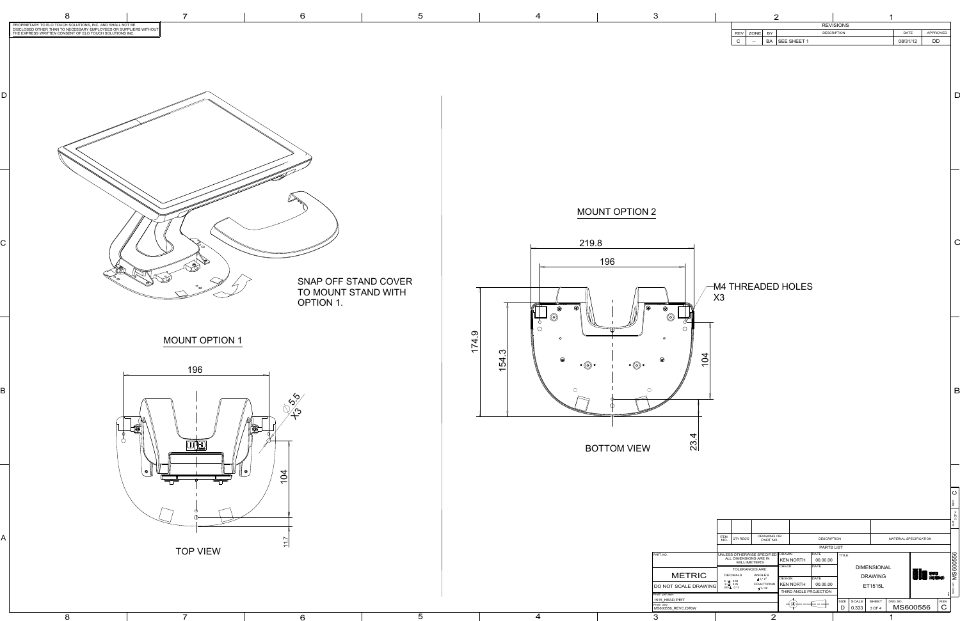B

 $\bm{\mathsf{C}}$ 

8



C

D



 $7$  6 5

|            | <b>REVISIONS</b> |           |                    |                    |          |          |  |  |  |  |  |  |
|------------|------------------|-----------|--------------------|--------------------|----------|----------|--|--|--|--|--|--|
| <b>REV</b> | ZONE             | BY        |                    | <b>DESCRIPTION</b> | DATE     | APPROVED |  |  |  |  |  |  |
| ⌒<br>◡     | $\sim$ $\sim$    | <b>BA</b> | <b>SEE SHEET 1</b> |                    | 08/31/12 | DD       |  |  |  |  |  |  |
|            |                  |           |                    |                    |          |          |  |  |  |  |  |  |

23.4

|   |  |                                  |                           |                                                                                                                                           |                                     |               |                  |                        |          |                |                    |                                    |                        | REV             |  |
|---|--|----------------------------------|---------------------------|-------------------------------------------------------------------------------------------------------------------------------------------|-------------------------------------|---------------|------------------|------------------------|----------|----------------|--------------------|------------------------------------|------------------------|-----------------|--|
|   |  |                                  |                           |                                                                                                                                           |                                     |               |                  |                        |          |                |                    |                                    |                        | O<br>공          |  |
|   |  |                                  | <b>ITEM</b><br>NO.        | QTY REQ'D                                                                                                                                 | <b>DRAWING OR</b><br>PART NO.       |               |                  | <b>DESCRIPTION</b>     |          |                |                    |                                    | MATERIAL SPECIFICATION |                 |  |
|   |  |                                  |                           |                                                                                                                                           |                                     |               |                  | <b>PARTS LIST</b>      |          |                |                    |                                    |                        |                 |  |
|   |  | PART. NO.                        |                           | DATE<br>UNLESS OTHERWISE SPECIFIED   DRAWN<br><b>TITLE</b><br>ALL DIMENSIONS ARE IN<br><b>KEN NORTH</b><br>00.00.00<br><b>MILLIMETERS</b> |                                     |               |                  |                        |          |                |                    |                                    |                        |                 |  |
|   |  |                                  |                           | <b>TOLERANCES ARE:</b>                                                                                                                    |                                     | CHECK         |                  | DATE                   |          |                | <b>DIMENSIONAL</b> |                                    |                        | <b>MS600556</b> |  |
|   |  | <b>METRIC</b>                    |                           | <b>DECIMALS</b><br>ANGLES<br>$\pm$ 1/2°                                                                                                   |                                     | <b>DESIGN</b> |                  | <b>DATE</b>            |          |                |                    | <b>CIO</b> TOUCH<br><b>DRAWING</b> |                        |                 |  |
|   |  | <b>DO NOT SCALE DRAWING</b>      | $X = 0.50$<br>$.X = 0.25$ |                                                                                                                                           | <b>FRACTIONS</b><br>$XX = \pm 0.13$ |               | <b>KEN NORTH</b> |                        | 00.00.00 | <b>ET1515L</b> |                    |                                    |                        |                 |  |
|   |  | Pro/E .prt/.asm:                 |                           |                                                                                                                                           | $\pm$ 1/32                          |               |                  | THIRD ANGLE PROJECTION |          |                |                    |                                    |                        | DWG. NO.        |  |
|   |  | 1515 HEAD.PRT                    |                           |                                                                                                                                           |                                     |               |                  |                        | SIZE     | <b>SCALE</b>   | SHEET              | DWG. NO.                           |                        | <b>REV</b>      |  |
|   |  | Pro/E .drw:<br>MS600556_REVC.DRW |                           |                                                                                                                                           |                                     |               |                  |                        | D        | 0.333          | 3 OF 4             |                                    | MS600556               | $\mathbf C$     |  |
| 4 |  | 3                                |                           |                                                                                                                                           | $\Omega$                            |               |                  |                        |          |                |                    |                                    |                        |                 |  |



 $\circledcirc$ 

 $\overline{O}$ 

 $\circledcirc$ 

 $\bigcap$